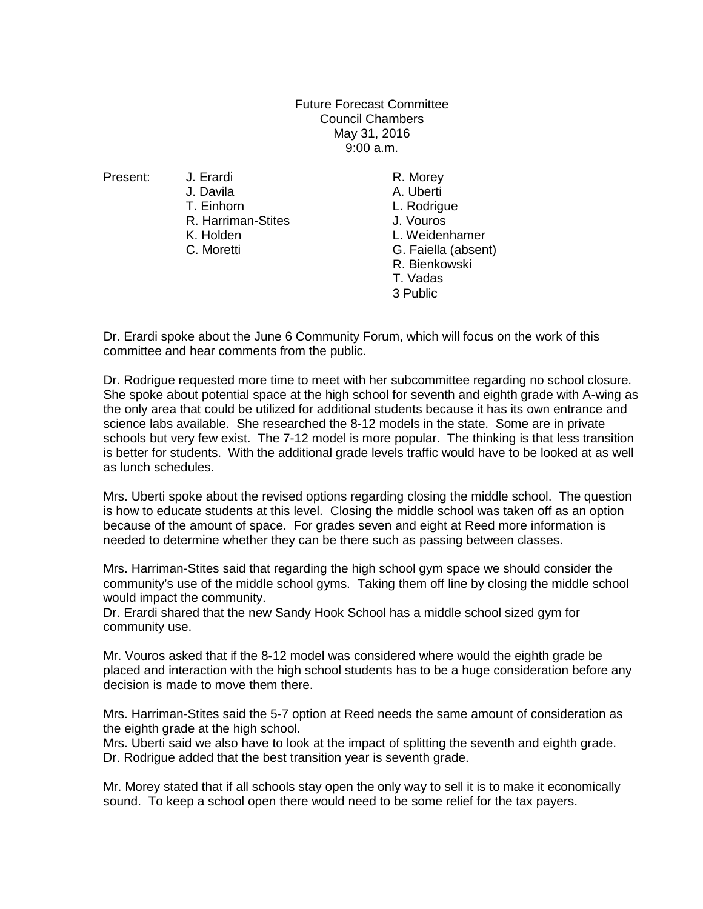Future Forecast Committee Council Chambers May 31, 2016 9:00 a.m.

J. Davila **A. Uberti**<br>T. Finhorn **A. Uberti** R. Harriman-Stites<br>K. Holden

Present: J. Erardi R. Morey L. Rodrigue<br>J. Vouros L. Weidenhamer C. Moretti G. Faiella (absent) R. Bienkowski T. Vadas 3 Public

Dr. Erardi spoke about the June 6 Community Forum, which will focus on the work of this committee and hear comments from the public.

Dr. Rodrigue requested more time to meet with her subcommittee regarding no school closure. She spoke about potential space at the high school for seventh and eighth grade with A-wing as the only area that could be utilized for additional students because it has its own entrance and science labs available. She researched the 8-12 models in the state. Some are in private schools but very few exist. The 7-12 model is more popular. The thinking is that less transition is better for students. With the additional grade levels traffic would have to be looked at as well as lunch schedules.

Mrs. Uberti spoke about the revised options regarding closing the middle school. The question is how to educate students at this level. Closing the middle school was taken off as an option because of the amount of space. For grades seven and eight at Reed more information is needed to determine whether they can be there such as passing between classes.

Mrs. Harriman-Stites said that regarding the high school gym space we should consider the community's use of the middle school gyms. Taking them off line by closing the middle school would impact the community.

Dr. Erardi shared that the new Sandy Hook School has a middle school sized gym for community use.

Mr. Vouros asked that if the 8-12 model was considered where would the eighth grade be placed and interaction with the high school students has to be a huge consideration before any decision is made to move them there.

Mrs. Harriman-Stites said the 5-7 option at Reed needs the same amount of consideration as the eighth grade at the high school.

Mrs. Uberti said we also have to look at the impact of splitting the seventh and eighth grade. Dr. Rodrigue added that the best transition year is seventh grade.

Mr. Morey stated that if all schools stay open the only way to sell it is to make it economically sound. To keep a school open there would need to be some relief for the tax payers.